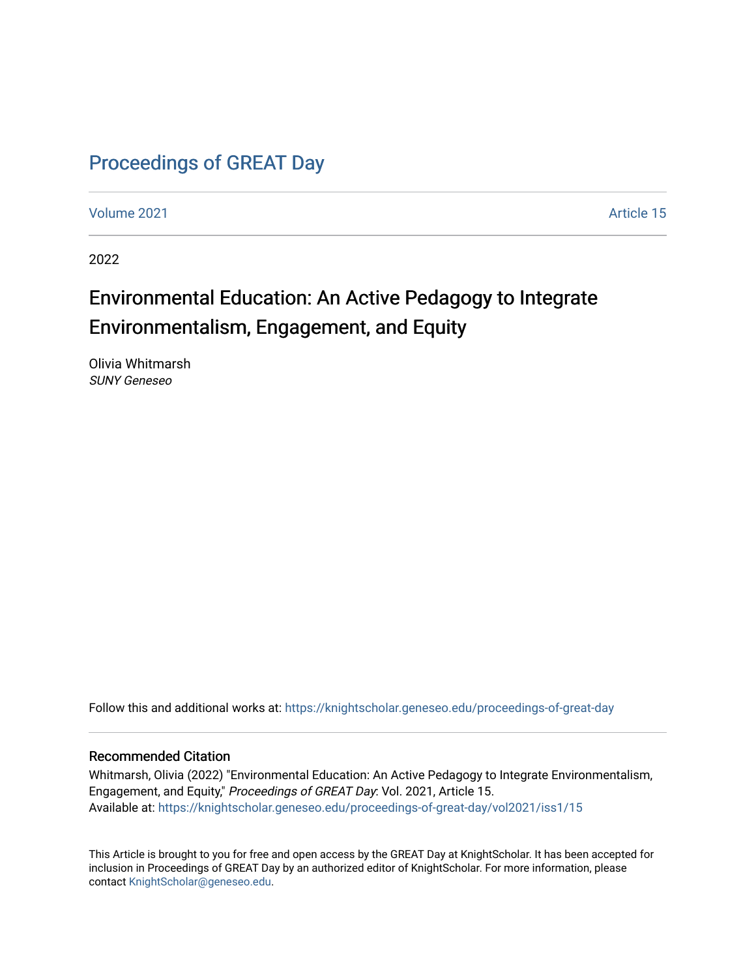# [Proceedings of GREAT Day](https://knightscholar.geneseo.edu/proceedings-of-great-day)

[Volume 2021](https://knightscholar.geneseo.edu/proceedings-of-great-day/vol2021) [Article 15](https://knightscholar.geneseo.edu/proceedings-of-great-day/vol2021/iss1/15) 

2022

# Environmental Education: An Active Pedagogy to Integrate Environmentalism, Engagement, and Equity

Olivia Whitmarsh SUNY Geneseo

Follow this and additional works at: [https://knightscholar.geneseo.edu/proceedings-of-great-day](https://knightscholar.geneseo.edu/proceedings-of-great-day?utm_source=knightscholar.geneseo.edu%2Fproceedings-of-great-day%2Fvol2021%2Fiss1%2F15&utm_medium=PDF&utm_campaign=PDFCoverPages) 

#### Recommended Citation

Whitmarsh, Olivia (2022) "Environmental Education: An Active Pedagogy to Integrate Environmentalism, Engagement, and Equity," Proceedings of GREAT Day: Vol. 2021, Article 15. Available at: [https://knightscholar.geneseo.edu/proceedings-of-great-day/vol2021/iss1/15](https://knightscholar.geneseo.edu/proceedings-of-great-day/vol2021/iss1/15?utm_source=knightscholar.geneseo.edu%2Fproceedings-of-great-day%2Fvol2021%2Fiss1%2F15&utm_medium=PDF&utm_campaign=PDFCoverPages)

This Article is brought to you for free and open access by the GREAT Day at KnightScholar. It has been accepted for inclusion in Proceedings of GREAT Day by an authorized editor of KnightScholar. For more information, please contact [KnightScholar@geneseo.edu.](mailto:KnightScholar@geneseo.edu)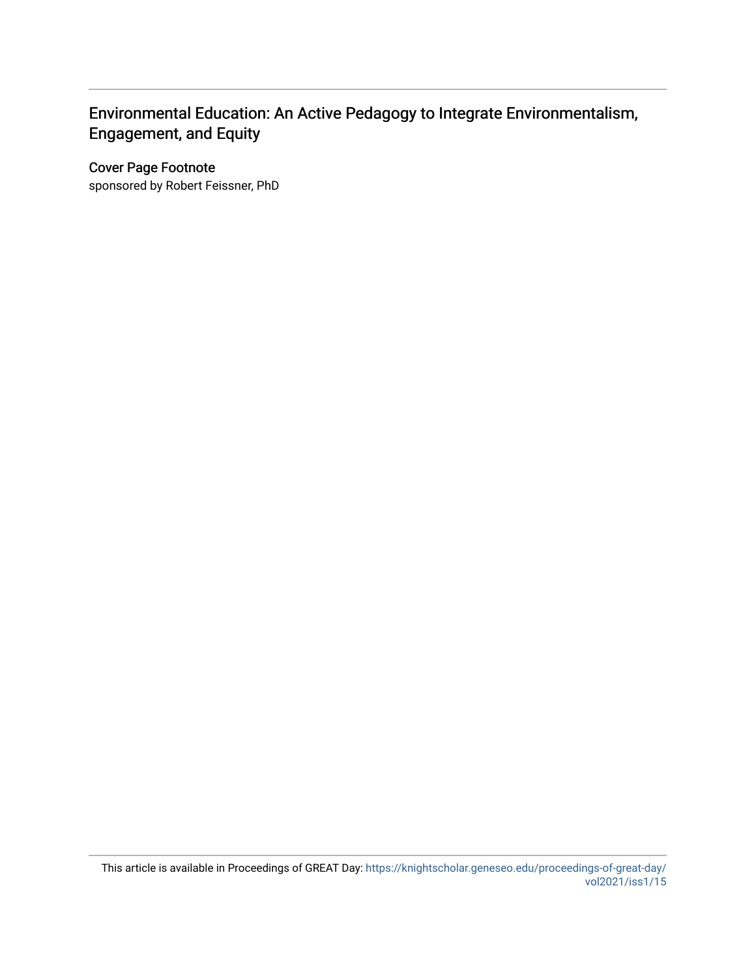### Environmental Education: An Active Pedagogy to Integrate Environmentalism, Engagement, and Equity

#### Cover Page Footnote

sponsored by Robert Feissner, PhD

This article is available in Proceedings of GREAT Day: [https://knightscholar.geneseo.edu/proceedings-of-great-day/](https://knightscholar.geneseo.edu/proceedings-of-great-day/vol2021/iss1/15) [vol2021/iss1/15](https://knightscholar.geneseo.edu/proceedings-of-great-day/vol2021/iss1/15)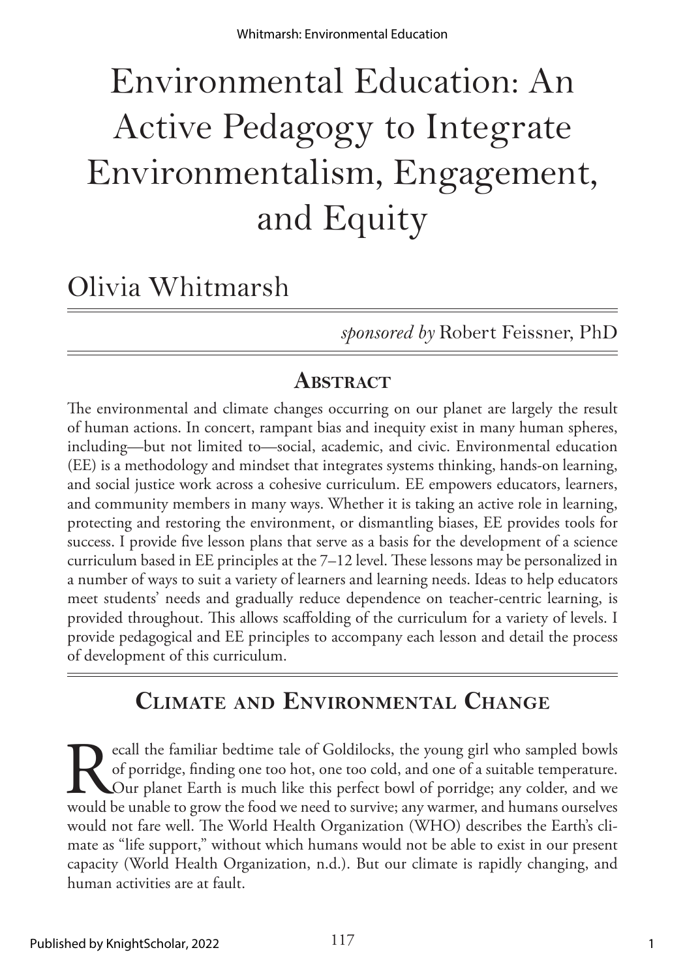# Environmental Education: An Active Pedagogy to Integrate Environmentalism, Engagement, and Equity

# Olivia Whitmarsh

*sponsored by* Robert Feissner, PhD

# **Abstract**

The environmental and climate changes occurring on our planet are largely the result of human actions. In concert, rampant bias and inequity exist in many human spheres, including—but not limited to—social, academic, and civic. Environmental education (EE) is a methodology and mindset that integrates systems thinking, hands-on learning, and social justice work across a cohesive curriculum. EE empowers educators, learners, and community members in many ways. Whether it is taking an active role in learning, protecting and restoring the environment, or dismantling biases, EE provides tools for success. I provide five lesson plans that serve as a basis for the development of a science curriculum based in EE principles at the 7–12 level. These lessons may be personalized in a number of ways to suit a variety of learners and learning needs. Ideas to help educators meet students' needs and gradually reduce dependence on teacher-centric learning, is provided throughout. This allows scaffolding of the curriculum for a variety of levels. I provide pedagogical and EE principles to accompany each lesson and detail the process of development of this curriculum.

# **Climate and Environmental Change**

**Recall the familiar bedtime tale of Goldilocks, the young girl who sampled bowls of porridge, finding one too hot, one too cold, and one of a suitable temperature. Our planet Earth is much like this perfect bowl of porrid** of porridge, finding one too hot, one too cold, and one of a suitable temperature. Our planet Earth is much like this perfect bowl of porridge; any colder, and we would be unable to grow the food we need to survive; any warmer, and humans ourselves would not fare well. The World Health Organization (WHO) describes the Earth's climate as "life support," without which humans would not be able to exist in our present capacity (World Health Organization, n.d.). But our climate is rapidly changing, and human activities are at fault.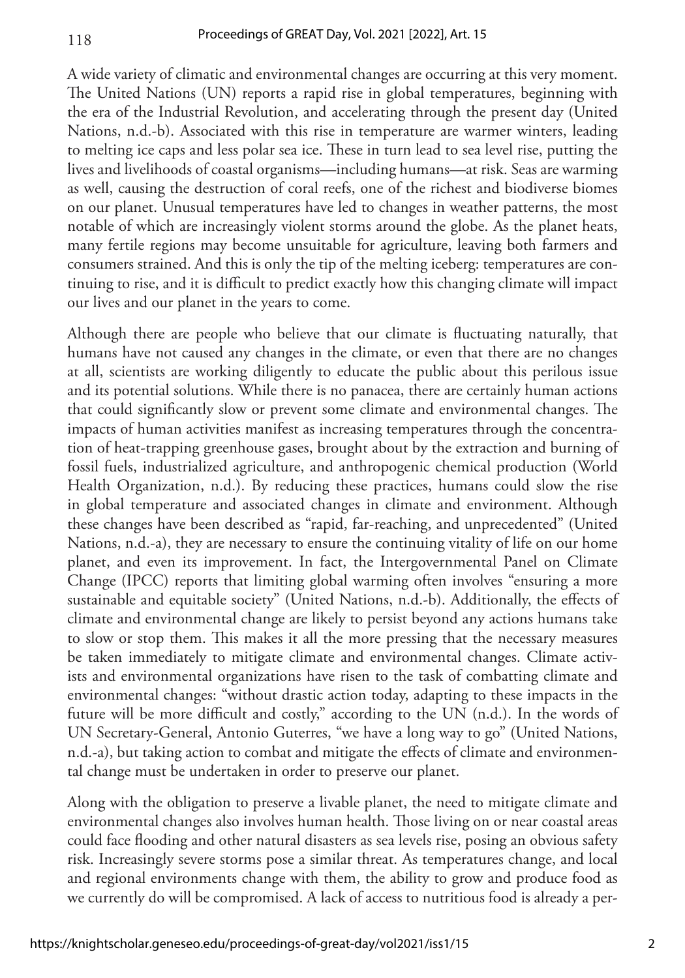A wide variety of climatic and environmental changes are occurring at this very moment. The United Nations (UN) reports a rapid rise in global temperatures, beginning with the era of the Industrial Revolution, and accelerating through the present day (United Nations, n.d.-b). Associated with this rise in temperature are warmer winters, leading to melting ice caps and less polar sea ice. These in turn lead to sea level rise, putting the lives and livelihoods of coastal organisms—including humans—at risk. Seas are warming as well, causing the destruction of coral reefs, one of the richest and biodiverse biomes on our planet. Unusual temperatures have led to changes in weather patterns, the most notable of which are increasingly violent storms around the globe. As the planet heats, many fertile regions may become unsuitable for agriculture, leaving both farmers and consumers strained. And this is only the tip of the melting iceberg: temperatures are continuing to rise, and it is difficult to predict exactly how this changing climate will impact our lives and our planet in the years to come.

Although there are people who believe that our climate is fluctuating naturally, that humans have not caused any changes in the climate, or even that there are no changes at all, scientists are working diligently to educate the public about this perilous issue and its potential solutions. While there is no panacea, there are certainly human actions that could significantly slow or prevent some climate and environmental changes. The impacts of human activities manifest as increasing temperatures through the concentration of heat-trapping greenhouse gases, brought about by the extraction and burning of fossil fuels, industrialized agriculture, and anthropogenic chemical production (World Health Organization, n.d.). By reducing these practices, humans could slow the rise in global temperature and associated changes in climate and environment. Although these changes have been described as "rapid, far-reaching, and unprecedented" (United Nations, n.d.-a), they are necessary to ensure the continuing vitality of life on our home planet, and even its improvement. In fact, the Intergovernmental Panel on Climate Change (IPCC) reports that limiting global warming often involves "ensuring a more sustainable and equitable society" (United Nations, n.d.-b). Additionally, the effects of climate and environmental change are likely to persist beyond any actions humans take to slow or stop them. This makes it all the more pressing that the necessary measures be taken immediately to mitigate climate and environmental changes. Climate activists and environmental organizations have risen to the task of combatting climate and environmental changes: "without drastic action today, adapting to these impacts in the future will be more difficult and costly," according to the UN (n.d.). In the words of UN Secretary-General, Antonio Guterres, "we have a long way to go" (United Nations, n.d.-a), but taking action to combat and mitigate the effects of climate and environmental change must be undertaken in order to preserve our planet.

Along with the obligation to preserve a livable planet, the need to mitigate climate and environmental changes also involves human health. Those living on or near coastal areas could face flooding and other natural disasters as sea levels rise, posing an obvious safety risk. Increasingly severe storms pose a similar threat. As temperatures change, and local and regional environments change with them, the ability to grow and produce food as we currently do will be compromised. A lack of access to nutritious food is already a per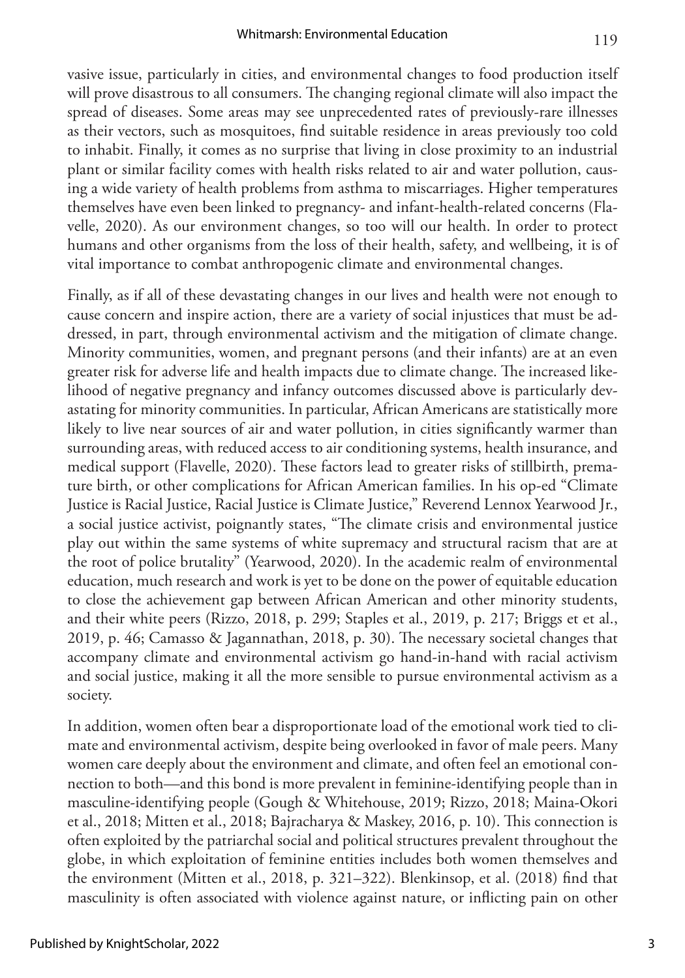vasive issue, particularly in cities, and environmental changes to food production itself will prove disastrous to all consumers. The changing regional climate will also impact the spread of diseases. Some areas may see unprecedented rates of previously-rare illnesses as their vectors, such as mosquitoes, find suitable residence in areas previously too cold to inhabit. Finally, it comes as no surprise that living in close proximity to an industrial plant or similar facility comes with health risks related to air and water pollution, causing a wide variety of health problems from asthma to miscarriages. Higher temperatures themselves have even been linked to pregnancy- and infant-health-related concerns (Fla-

velle, 2020). As our environment changes, so too will our health. In order to protect humans and other organisms from the loss of their health, safety, and wellbeing, it is of vital importance to combat anthropogenic climate and environmental changes.

Finally, as if all of these devastating changes in our lives and health were not enough to cause concern and inspire action, there are a variety of social injustices that must be addressed, in part, through environmental activism and the mitigation of climate change. Minority communities, women, and pregnant persons (and their infants) are at an even greater risk for adverse life and health impacts due to climate change. The increased likelihood of negative pregnancy and infancy outcomes discussed above is particularly devastating for minority communities. In particular, African Americans are statistically more likely to live near sources of air and water pollution, in cities significantly warmer than surrounding areas, with reduced access to air conditioning systems, health insurance, and medical support (Flavelle, 2020). These factors lead to greater risks of stillbirth, premature birth, or other complications for African American families. In his op-ed "Climate Justice is Racial Justice, Racial Justice is Climate Justice," Reverend Lennox Yearwood Jr., a social justice activist, poignantly states, "The climate crisis and environmental justice play out within the same systems of white supremacy and structural racism that are at the root of police brutality" (Yearwood, 2020). In the academic realm of environmental education, much research and work is yet to be done on the power of equitable education to close the achievement gap between African American and other minority students, and their white peers (Rizzo, 2018, p. 299; Staples et al., 2019, p. 217; Briggs et et al., 2019, p. 46; Camasso & Jagannathan, 2018, p. 30). The necessary societal changes that accompany climate and environmental activism go hand-in-hand with racial activism and social justice, making it all the more sensible to pursue environmental activism as a society.

In addition, women often bear a disproportionate load of the emotional work tied to climate and environmental activism, despite being overlooked in favor of male peers. Many women care deeply about the environment and climate, and often feel an emotional connection to both—and this bond is more prevalent in feminine-identifying people than in masculine-identifying people (Gough & Whitehouse, 2019; Rizzo, 2018; Maina-Okori et al., 2018; Mitten et al., 2018; Bajracharya & Maskey, 2016, p. 10). This connection is often exploited by the patriarchal social and political structures prevalent throughout the globe, in which exploitation of feminine entities includes both women themselves and the environment (Mitten et al., 2018, p. 321–322). Blenkinsop, et al. (2018) find that masculinity is often associated with violence against nature, or inflicting pain on other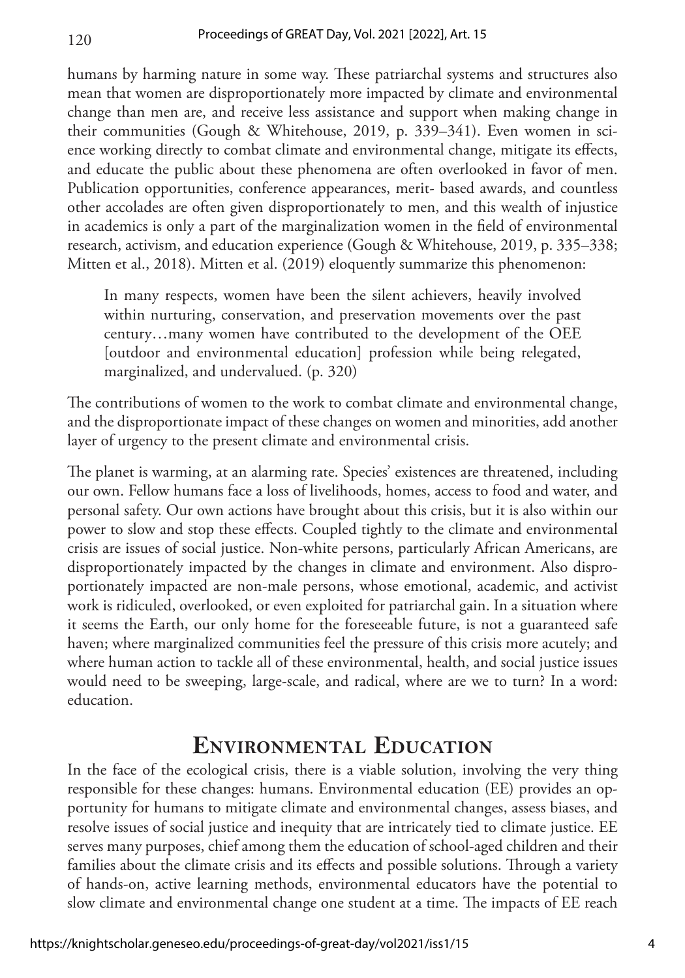humans by harming nature in some way. These patriarchal systems and structures also mean that women are disproportionately more impacted by climate and environmental change than men are, and receive less assistance and support when making change in their communities (Gough & Whitehouse, 2019, p. 339–341). Even women in science working directly to combat climate and environmental change, mitigate its effects, and educate the public about these phenomena are often overlooked in favor of men. Publication opportunities, conference appearances, merit- based awards, and countless other accolades are often given disproportionately to men, and this wealth of injustice in academics is only a part of the marginalization women in the field of environmental research, activism, and education experience (Gough & Whitehouse, 2019, p. 335–338; Mitten et al., 2018). Mitten et al. (2019) eloquently summarize this phenomenon:

In many respects, women have been the silent achievers, heavily involved within nurturing, conservation, and preservation movements over the past century…many women have contributed to the development of the OEE [outdoor and environmental education] profession while being relegated, marginalized, and undervalued. (p. 320)

The contributions of women to the work to combat climate and environmental change, and the disproportionate impact of these changes on women and minorities, add another layer of urgency to the present climate and environmental crisis.

The planet is warming, at an alarming rate. Species' existences are threatened, including our own. Fellow humans face a loss of livelihoods, homes, access to food and water, and personal safety. Our own actions have brought about this crisis, but it is also within our power to slow and stop these effects. Coupled tightly to the climate and environmental crisis are issues of social justice. Non-white persons, particularly African Americans, are disproportionately impacted by the changes in climate and environment. Also disproportionately impacted are non-male persons, whose emotional, academic, and activist work is ridiculed, overlooked, or even exploited for patriarchal gain. In a situation where it seems the Earth, our only home for the foreseeable future, is not a guaranteed safe haven; where marginalized communities feel the pressure of this crisis more acutely; and where human action to tackle all of these environmental, health, and social justice issues would need to be sweeping, large-scale, and radical, where are we to turn? In a word: education.

### **Environmental Education**

In the face of the ecological crisis, there is a viable solution, involving the very thing responsible for these changes: humans. Environmental education (EE) provides an opportunity for humans to mitigate climate and environmental changes, assess biases, and resolve issues of social justice and inequity that are intricately tied to climate justice. EE serves many purposes, chief among them the education of school-aged children and their families about the climate crisis and its effects and possible solutions. Through a variety of hands-on, active learning methods, environmental educators have the potential to slow climate and environmental change one student at a time. The impacts of EE reach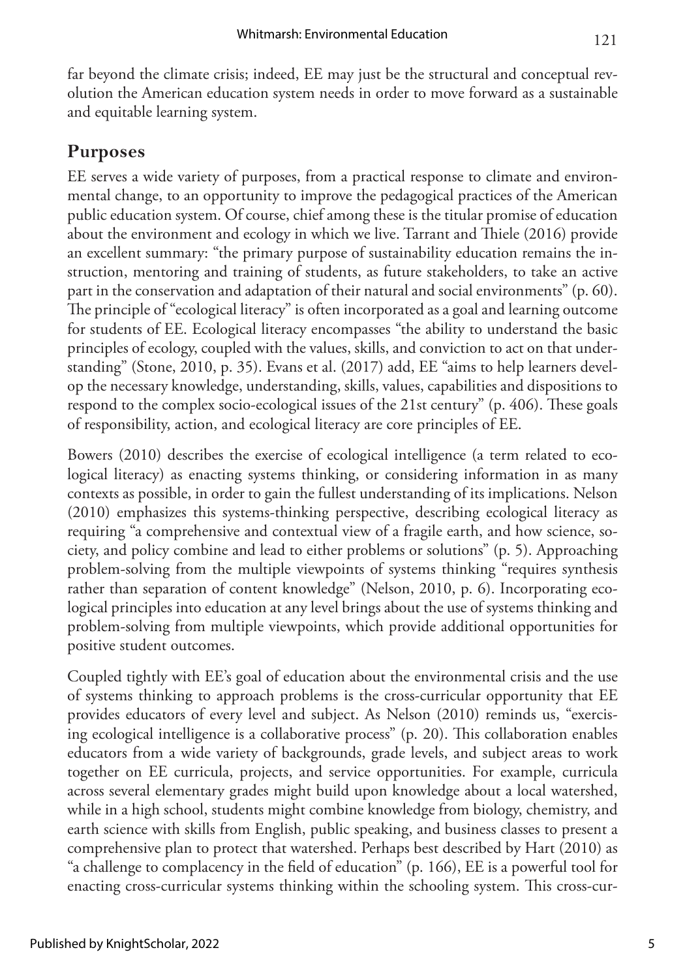far beyond the climate crisis; indeed, EE may just be the structural and conceptual revolution the American education system needs in order to move forward as a sustainable and equitable learning system.

### **Purposes**

EE serves a wide variety of purposes, from a practical response to climate and environmental change, to an opportunity to improve the pedagogical practices of the American public education system. Of course, chief among these is the titular promise of education about the environment and ecology in which we live. Tarrant and Thiele (2016) provide an excellent summary: "the primary purpose of sustainability education remains the instruction, mentoring and training of students, as future stakeholders, to take an active part in the conservation and adaptation of their natural and social environments" (p. 60). The principle of "ecological literacy" is often incorporated as a goal and learning outcome for students of EE. Ecological literacy encompasses "the ability to understand the basic principles of ecology, coupled with the values, skills, and conviction to act on that understanding" (Stone, 2010, p. 35). Evans et al. (2017) add, EE "aims to help learners develop the necessary knowledge, understanding, skills, values, capabilities and dispositions to respond to the complex socio-ecological issues of the 21st century" (p. 406). These goals of responsibility, action, and ecological literacy are core principles of EE.

Bowers (2010) describes the exercise of ecological intelligence (a term related to ecological literacy) as enacting systems thinking, or considering information in as many contexts as possible, in order to gain the fullest understanding of its implications. Nelson (2010) emphasizes this systems-thinking perspective, describing ecological literacy as requiring "a comprehensive and contextual view of a fragile earth, and how science, society, and policy combine and lead to either problems or solutions" (p. 5). Approaching problem-solving from the multiple viewpoints of systems thinking "requires synthesis rather than separation of content knowledge" (Nelson, 2010, p. 6). Incorporating ecological principles into education at any level brings about the use of systems thinking and problem-solving from multiple viewpoints, which provide additional opportunities for positive student outcomes.

Coupled tightly with EE's goal of education about the environmental crisis and the use of systems thinking to approach problems is the cross-curricular opportunity that EE provides educators of every level and subject. As Nelson (2010) reminds us, "exercising ecological intelligence is a collaborative process" (p. 20). This collaboration enables educators from a wide variety of backgrounds, grade levels, and subject areas to work together on EE curricula, projects, and service opportunities. For example, curricula across several elementary grades might build upon knowledge about a local watershed, while in a high school, students might combine knowledge from biology, chemistry, and earth science with skills from English, public speaking, and business classes to present a comprehensive plan to protect that watershed. Perhaps best described by Hart (2010) as "a challenge to complacency in the field of education" (p. 166), EE is a powerful tool for enacting cross-curricular systems thinking within the schooling system. This cross-cur-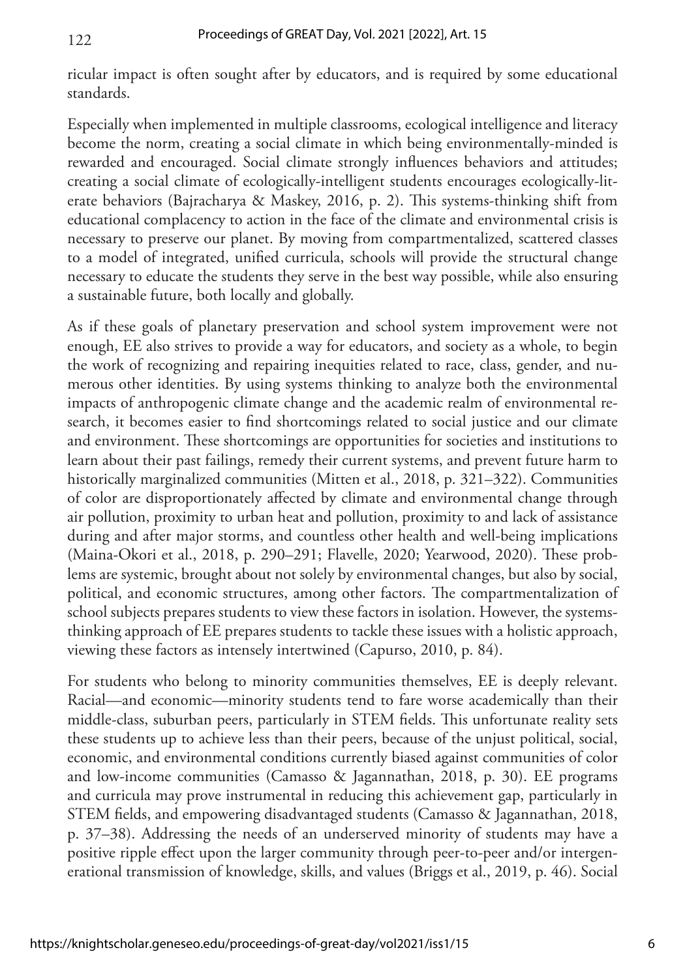ricular impact is often sought after by educators, and is required by some educational standards.

Especially when implemented in multiple classrooms, ecological intelligence and literacy become the norm, creating a social climate in which being environmentally-minded is rewarded and encouraged. Social climate strongly influences behaviors and attitudes; creating a social climate of ecologically-intelligent students encourages ecologically-literate behaviors (Bajracharya & Maskey, 2016, p. 2). This systems-thinking shift from educational complacency to action in the face of the climate and environmental crisis is necessary to preserve our planet. By moving from compartmentalized, scattered classes to a model of integrated, unified curricula, schools will provide the structural change necessary to educate the students they serve in the best way possible, while also ensuring a sustainable future, both locally and globally.

As if these goals of planetary preservation and school system improvement were not enough, EE also strives to provide a way for educators, and society as a whole, to begin the work of recognizing and repairing inequities related to race, class, gender, and numerous other identities. By using systems thinking to analyze both the environmental impacts of anthropogenic climate change and the academic realm of environmental research, it becomes easier to find shortcomings related to social justice and our climate and environment. These shortcomings are opportunities for societies and institutions to learn about their past failings, remedy their current systems, and prevent future harm to historically marginalized communities (Mitten et al., 2018, p. 321–322). Communities of color are disproportionately affected by climate and environmental change through air pollution, proximity to urban heat and pollution, proximity to and lack of assistance during and after major storms, and countless other health and well-being implications (Maina-Okori et al., 2018, p. 290–291; Flavelle, 2020; Yearwood, 2020). These problems are systemic, brought about not solely by environmental changes, but also by social, political, and economic structures, among other factors. The compartmentalization of school subjects prepares students to view these factors in isolation. However, the systemsthinking approach of EE prepares students to tackle these issues with a holistic approach, viewing these factors as intensely intertwined (Capurso, 2010, p. 84).

For students who belong to minority communities themselves, EE is deeply relevant. Racial—and economic—minority students tend to fare worse academically than their middle-class, suburban peers, particularly in STEM fields. This unfortunate reality sets these students up to achieve less than their peers, because of the unjust political, social, economic, and environmental conditions currently biased against communities of color and low-income communities (Camasso & Jagannathan, 2018, p. 30). EE programs and curricula may prove instrumental in reducing this achievement gap, particularly in STEM fields, and empowering disadvantaged students (Camasso & Jagannathan, 2018, p. 37–38). Addressing the needs of an underserved minority of students may have a positive ripple effect upon the larger community through peer-to-peer and/or intergenerational transmission of knowledge, skills, and values (Briggs et al., 2019, p. 46). Social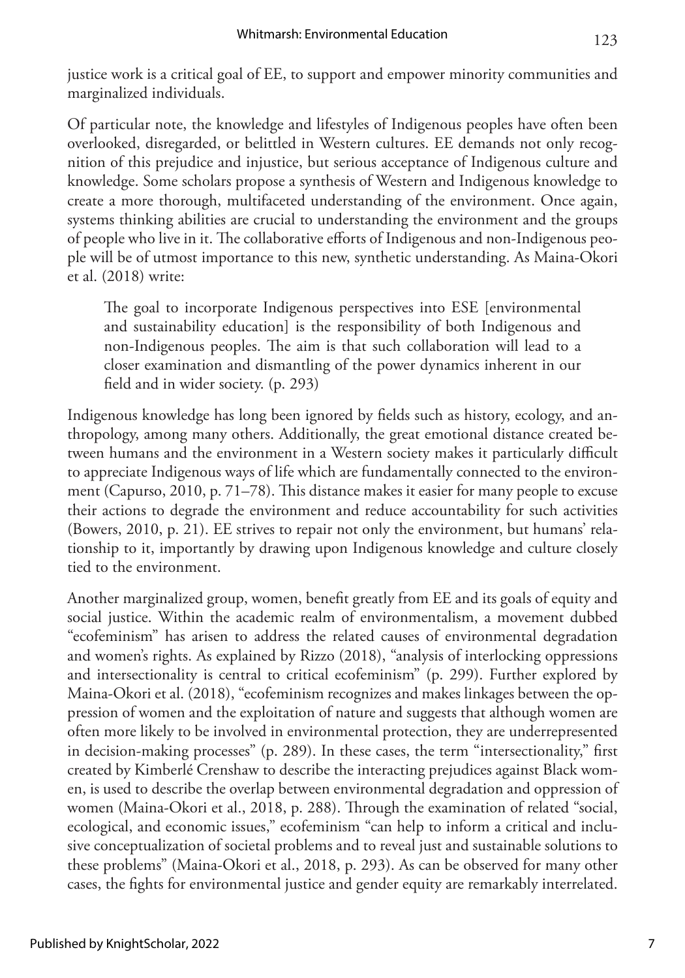justice work is a critical goal of EE, to support and empower minority communities and marginalized individuals.

Of particular note, the knowledge and lifestyles of Indigenous peoples have often been overlooked, disregarded, or belittled in Western cultures. EE demands not only recognition of this prejudice and injustice, but serious acceptance of Indigenous culture and knowledge. Some scholars propose a synthesis of Western and Indigenous knowledge to create a more thorough, multifaceted understanding of the environment. Once again, systems thinking abilities are crucial to understanding the environment and the groups of people who live in it. The collaborative efforts of Indigenous and non-Indigenous people will be of utmost importance to this new, synthetic understanding. As Maina-Okori et al. (2018) write:

The goal to incorporate Indigenous perspectives into ESE [environmental and sustainability education] is the responsibility of both Indigenous and non-Indigenous peoples. The aim is that such collaboration will lead to a closer examination and dismantling of the power dynamics inherent in our field and in wider society. (p. 293)

Indigenous knowledge has long been ignored by fields such as history, ecology, and anthropology, among many others. Additionally, the great emotional distance created between humans and the environment in a Western society makes it particularly difficult to appreciate Indigenous ways of life which are fundamentally connected to the environment (Capurso, 2010, p. 71–78). This distance makes it easier for many people to excuse their actions to degrade the environment and reduce accountability for such activities (Bowers, 2010, p. 21). EE strives to repair not only the environment, but humans' relationship to it, importantly by drawing upon Indigenous knowledge and culture closely tied to the environment.

Another marginalized group, women, benefit greatly from EE and its goals of equity and social justice. Within the academic realm of environmentalism, a movement dubbed "ecofeminism" has arisen to address the related causes of environmental degradation and women's rights. As explained by Rizzo (2018), "analysis of interlocking oppressions and intersectionality is central to critical ecofeminism" (p. 299). Further explored by Maina-Okori et al. (2018), "ecofeminism recognizes and makes linkages between the oppression of women and the exploitation of nature and suggests that although women are often more likely to be involved in environmental protection, they are underrepresented in decision-making processes" (p. 289). In these cases, the term "intersectionality," first created by Kimberlé Crenshaw to describe the interacting prejudices against Black women, is used to describe the overlap between environmental degradation and oppression of women (Maina-Okori et al., 2018, p. 288). Through the examination of related "social, ecological, and economic issues," ecofeminism "can help to inform a critical and inclusive conceptualization of societal problems and to reveal just and sustainable solutions to these problems" (Maina-Okori et al., 2018, p. 293). As can be observed for many other cases, the fights for environmental justice and gender equity are remarkably interrelated.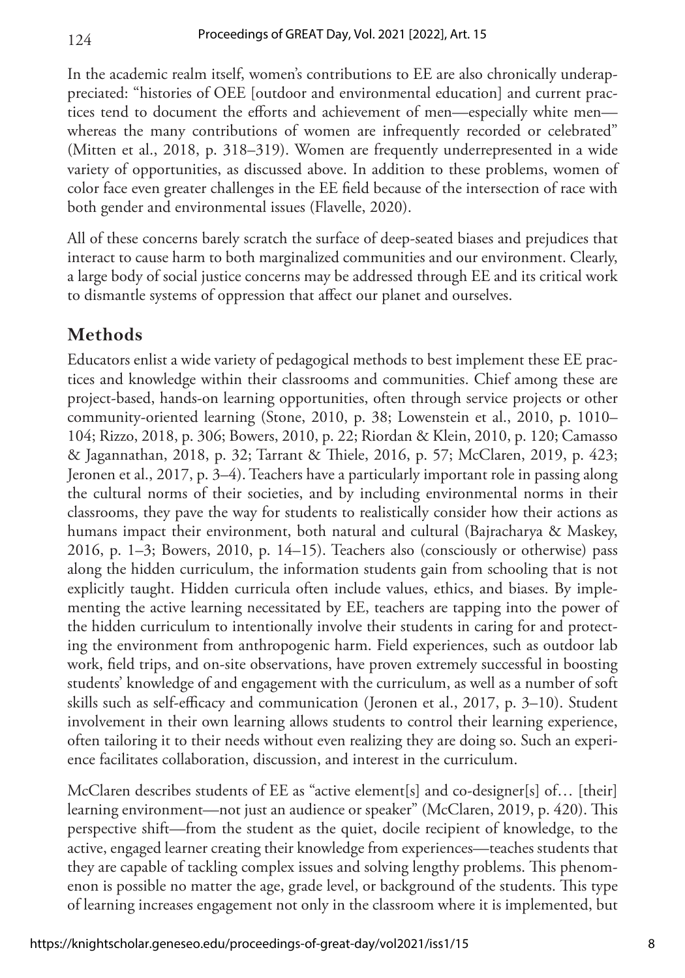In the academic realm itself, women's contributions to EE are also chronically underappreciated: "histories of OEE [outdoor and environmental education] and current practices tend to document the efforts and achievement of men—especially white men whereas the many contributions of women are infrequently recorded or celebrated" (Mitten et al., 2018, p. 318–319). Women are frequently underrepresented in a wide variety of opportunities, as discussed above. In addition to these problems, women of color face even greater challenges in the EE field because of the intersection of race with both gender and environmental issues (Flavelle, 2020).

All of these concerns barely scratch the surface of deep-seated biases and prejudices that interact to cause harm to both marginalized communities and our environment. Clearly, a large body of social justice concerns may be addressed through EE and its critical work to dismantle systems of oppression that affect our planet and ourselves.

#### **Methods**

124

Educators enlist a wide variety of pedagogical methods to best implement these EE practices and knowledge within their classrooms and communities. Chief among these are project-based, hands-on learning opportunities, often through service projects or other community-oriented learning (Stone, 2010, p. 38; Lowenstein et al., 2010, p. 1010– 104; Rizzo, 2018, p. 306; Bowers, 2010, p. 22; Riordan & Klein, 2010, p. 120; Camasso & Jagannathan, 2018, p. 32; Tarrant & Thiele, 2016, p. 57; McClaren, 2019, p. 423; Jeronen et al., 2017, p. 3–4). Teachers have a particularly important role in passing along the cultural norms of their societies, and by including environmental norms in their classrooms, they pave the way for students to realistically consider how their actions as humans impact their environment, both natural and cultural (Bajracharya & Maskey, 2016, p. 1–3; Bowers, 2010, p. 14–15). Teachers also (consciously or otherwise) pass along the hidden curriculum, the information students gain from schooling that is not explicitly taught. Hidden curricula often include values, ethics, and biases. By implementing the active learning necessitated by EE, teachers are tapping into the power of the hidden curriculum to intentionally involve their students in caring for and protecting the environment from anthropogenic harm. Field experiences, such as outdoor lab work, field trips, and on-site observations, have proven extremely successful in boosting students' knowledge of and engagement with the curriculum, as well as a number of soft skills such as self-efficacy and communication (Jeronen et al., 2017, p. 3–10). Student involvement in their own learning allows students to control their learning experience, often tailoring it to their needs without even realizing they are doing so. Such an experience facilitates collaboration, discussion, and interest in the curriculum.

McClaren describes students of EE as "active element[s] and co-designer[s] of… [their] learning environment—not just an audience or speaker" (McClaren, 2019, p. 420). This perspective shift—from the student as the quiet, docile recipient of knowledge, to the active, engaged learner creating their knowledge from experiences—teaches students that they are capable of tackling complex issues and solving lengthy problems. This phenomenon is possible no matter the age, grade level, or background of the students. This type of learning increases engagement not only in the classroom where it is implemented, but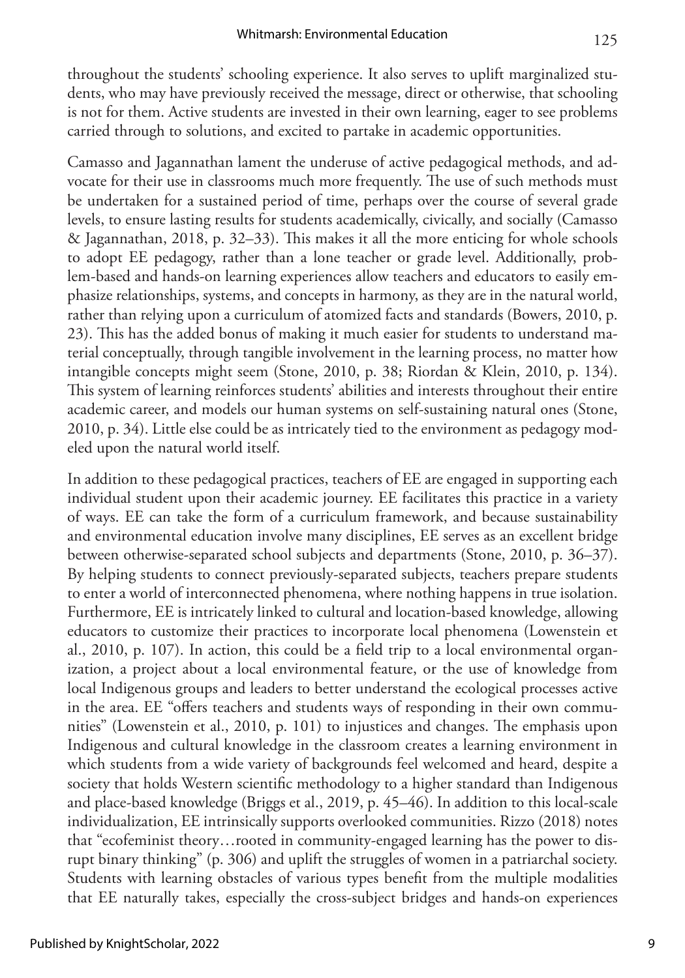throughout the students' schooling experience. It also serves to uplift marginalized students, who may have previously received the message, direct or otherwise, that schooling is not for them. Active students are invested in their own learning, eager to see problems carried through to solutions, and excited to partake in academic opportunities.

Camasso and Jagannathan lament the underuse of active pedagogical methods, and advocate for their use in classrooms much more frequently. The use of such methods must be undertaken for a sustained period of time, perhaps over the course of several grade levels, to ensure lasting results for students academically, civically, and socially (Camasso & Jagannathan, 2018, p. 32–33). This makes it all the more enticing for whole schools to adopt EE pedagogy, rather than a lone teacher or grade level. Additionally, problem-based and hands-on learning experiences allow teachers and educators to easily emphasize relationships, systems, and concepts in harmony, as they are in the natural world, rather than relying upon a curriculum of atomized facts and standards (Bowers, 2010, p. 23). This has the added bonus of making it much easier for students to understand material conceptually, through tangible involvement in the learning process, no matter how intangible concepts might seem (Stone, 2010, p. 38; Riordan & Klein, 2010, p. 134). This system of learning reinforces students' abilities and interests throughout their entire academic career, and models our human systems on self-sustaining natural ones (Stone, 2010, p. 34). Little else could be as intricately tied to the environment as pedagogy modeled upon the natural world itself.

In addition to these pedagogical practices, teachers of EE are engaged in supporting each individual student upon their academic journey. EE facilitates this practice in a variety of ways. EE can take the form of a curriculum framework, and because sustainability and environmental education involve many disciplines, EE serves as an excellent bridge between otherwise-separated school subjects and departments (Stone, 2010, p. 36–37). By helping students to connect previously-separated subjects, teachers prepare students to enter a world of interconnected phenomena, where nothing happens in true isolation. Furthermore, EE is intricately linked to cultural and location-based knowledge, allowing educators to customize their practices to incorporate local phenomena (Lowenstein et al., 2010, p. 107). In action, this could be a field trip to a local environmental organization, a project about a local environmental feature, or the use of knowledge from local Indigenous groups and leaders to better understand the ecological processes active in the area. EE "offers teachers and students ways of responding in their own communities" (Lowenstein et al., 2010, p. 101) to injustices and changes. The emphasis upon Indigenous and cultural knowledge in the classroom creates a learning environment in which students from a wide variety of backgrounds feel welcomed and heard, despite a society that holds Western scientific methodology to a higher standard than Indigenous and place-based knowledge (Briggs et al., 2019, p. 45–46). In addition to this local-scale individualization, EE intrinsically supports overlooked communities. Rizzo (2018) notes that "ecofeminist theory…rooted in community-engaged learning has the power to disrupt binary thinking" (p. 306) and uplift the struggles of women in a patriarchal society. Students with learning obstacles of various types benefit from the multiple modalities that EE naturally takes, especially the cross-subject bridges and hands-on experiences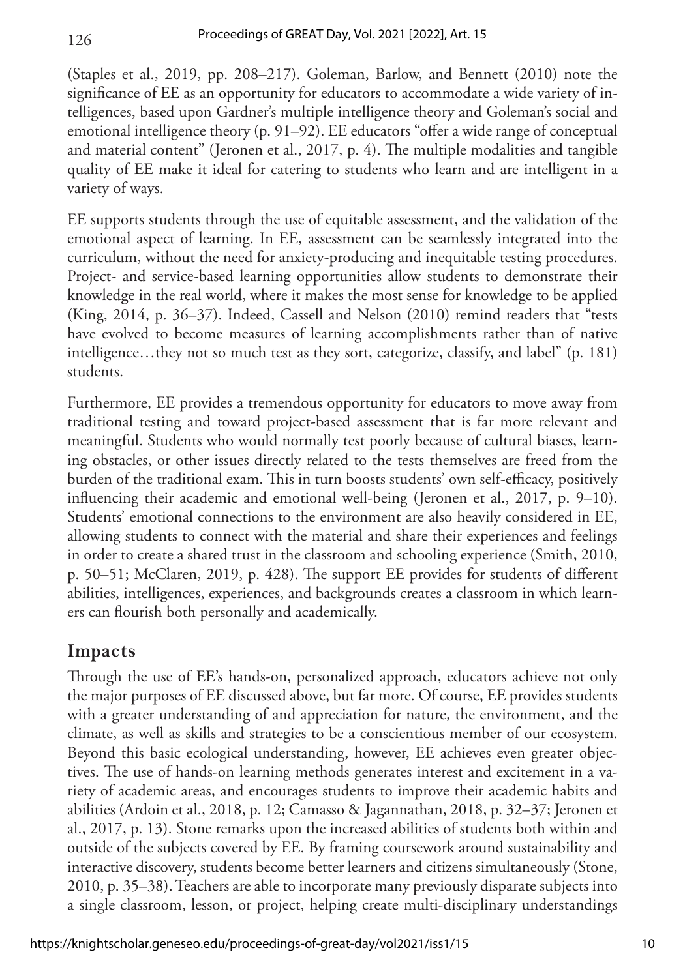(Staples et al., 2019, pp. 208–217). Goleman, Barlow, and Bennett (2010) note the significance of EE as an opportunity for educators to accommodate a wide variety of intelligences, based upon Gardner's multiple intelligence theory and Goleman's social and emotional intelligence theory (p. 91–92). EE educators "offer a wide range of conceptual and material content" (Jeronen et al., 2017, p. 4). The multiple modalities and tangible quality of EE make it ideal for catering to students who learn and are intelligent in a variety of ways.

EE supports students through the use of equitable assessment, and the validation of the emotional aspect of learning. In EE, assessment can be seamlessly integrated into the curriculum, without the need for anxiety-producing and inequitable testing procedures. Project- and service-based learning opportunities allow students to demonstrate their knowledge in the real world, where it makes the most sense for knowledge to be applied (King, 2014, p. 36–37). Indeed, Cassell and Nelson (2010) remind readers that "tests have evolved to become measures of learning accomplishments rather than of native intelligence…they not so much test as they sort, categorize, classify, and label" (p. 181) students.

Furthermore, EE provides a tremendous opportunity for educators to move away from traditional testing and toward project-based assessment that is far more relevant and meaningful. Students who would normally test poorly because of cultural biases, learning obstacles, or other issues directly related to the tests themselves are freed from the burden of the traditional exam. This in turn boosts students' own self-efficacy, positively influencing their academic and emotional well-being (Jeronen et al., 2017, p. 9–10). Students' emotional connections to the environment are also heavily considered in EE, allowing students to connect with the material and share their experiences and feelings in order to create a shared trust in the classroom and schooling experience (Smith, 2010, p. 50–51; McClaren, 2019, p. 428). The support EE provides for students of different abilities, intelligences, experiences, and backgrounds creates a classroom in which learners can flourish both personally and academically.

### **Impacts**

126

Through the use of EE's hands-on, personalized approach, educators achieve not only the major purposes of EE discussed above, but far more. Of course, EE provides students with a greater understanding of and appreciation for nature, the environment, and the climate, as well as skills and strategies to be a conscientious member of our ecosystem. Beyond this basic ecological understanding, however, EE achieves even greater objectives. The use of hands-on learning methods generates interest and excitement in a variety of academic areas, and encourages students to improve their academic habits and abilities (Ardoin et al., 2018, p. 12; Camasso & Jagannathan, 2018, p. 32–37; Jeronen et al., 2017, p. 13). Stone remarks upon the increased abilities of students both within and outside of the subjects covered by EE. By framing coursework around sustainability and interactive discovery, students become better learners and citizens simultaneously (Stone, 2010, p. 35–38). Teachers are able to incorporate many previously disparate subjects into a single classroom, lesson, or project, helping create multi-disciplinary understandings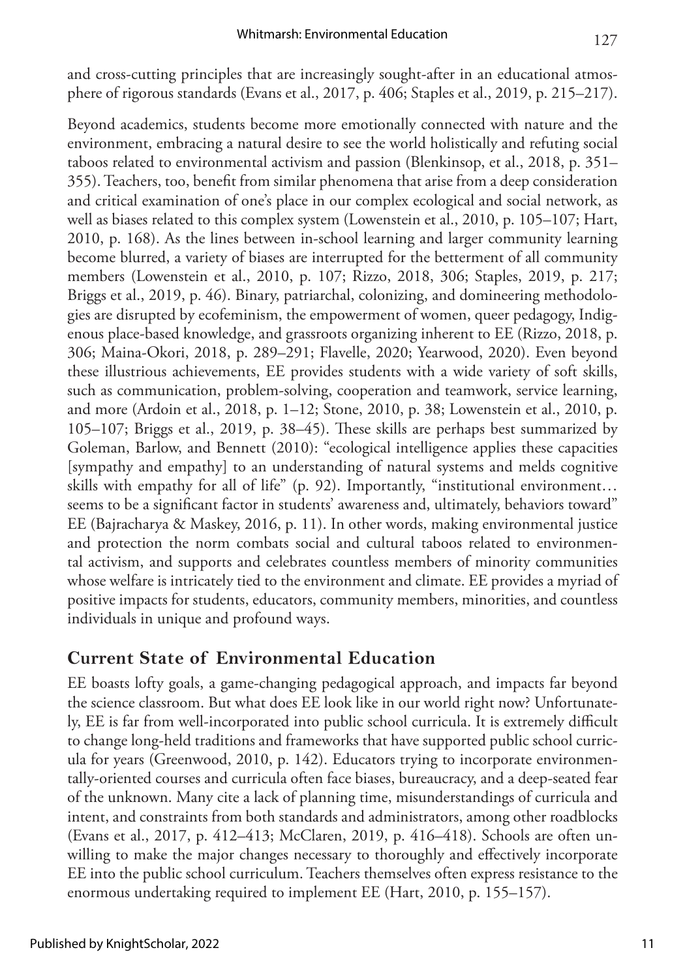and cross-cutting principles that are increasingly sought-after in an educational atmosphere of rigorous standards (Evans et al., 2017, p. 406; Staples et al., 2019, p. 215–217).

Beyond academics, students become more emotionally connected with nature and the environment, embracing a natural desire to see the world holistically and refuting social taboos related to environmental activism and passion (Blenkinsop, et al., 2018, p. 351– 355). Teachers, too, benefit from similar phenomena that arise from a deep consideration and critical examination of one's place in our complex ecological and social network, as well as biases related to this complex system (Lowenstein et al., 2010, p. 105–107; Hart, 2010, p. 168). As the lines between in-school learning and larger community learning become blurred, a variety of biases are interrupted for the betterment of all community members (Lowenstein et al., 2010, p. 107; Rizzo, 2018, 306; Staples, 2019, p. 217; Briggs et al., 2019, p. 46). Binary, patriarchal, colonizing, and domineering methodologies are disrupted by ecofeminism, the empowerment of women, queer pedagogy, Indigenous place-based knowledge, and grassroots organizing inherent to EE (Rizzo, 2018, p. 306; Maina-Okori, 2018, p. 289–291; Flavelle, 2020; Yearwood, 2020). Even beyond these illustrious achievements, EE provides students with a wide variety of soft skills, such as communication, problem-solving, cooperation and teamwork, service learning, and more (Ardoin et al., 2018, p. 1–12; Stone, 2010, p. 38; Lowenstein et al., 2010, p. 105–107; Briggs et al., 2019, p. 38–45). These skills are perhaps best summarized by Goleman, Barlow, and Bennett (2010): "ecological intelligence applies these capacities [sympathy and empathy] to an understanding of natural systems and melds cognitive skills with empathy for all of life" (p. 92). Importantly, "institutional environment… seems to be a significant factor in students' awareness and, ultimately, behaviors toward" EE (Bajracharya & Maskey, 2016, p. 11). In other words, making environmental justice and protection the norm combats social and cultural taboos related to environmental activism, and supports and celebrates countless members of minority communities whose welfare is intricately tied to the environment and climate. EE provides a myriad of positive impacts for students, educators, community members, minorities, and countless individuals in unique and profound ways.

### **Current State of Environmental Education**

EE boasts lofty goals, a game-changing pedagogical approach, and impacts far beyond the science classroom. But what does EE look like in our world right now? Unfortunately, EE is far from well-incorporated into public school curricula. It is extremely difficult to change long-held traditions and frameworks that have supported public school curricula for years (Greenwood, 2010, p. 142). Educators trying to incorporate environmentally-oriented courses and curricula often face biases, bureaucracy, and a deep-seated fear of the unknown. Many cite a lack of planning time, misunderstandings of curricula and intent, and constraints from both standards and administrators, among other roadblocks (Evans et al., 2017, p. 412–413; McClaren, 2019, p. 416–418). Schools are often unwilling to make the major changes necessary to thoroughly and effectively incorporate EE into the public school curriculum. Teachers themselves often express resistance to the enormous undertaking required to implement EE (Hart, 2010, p. 155–157).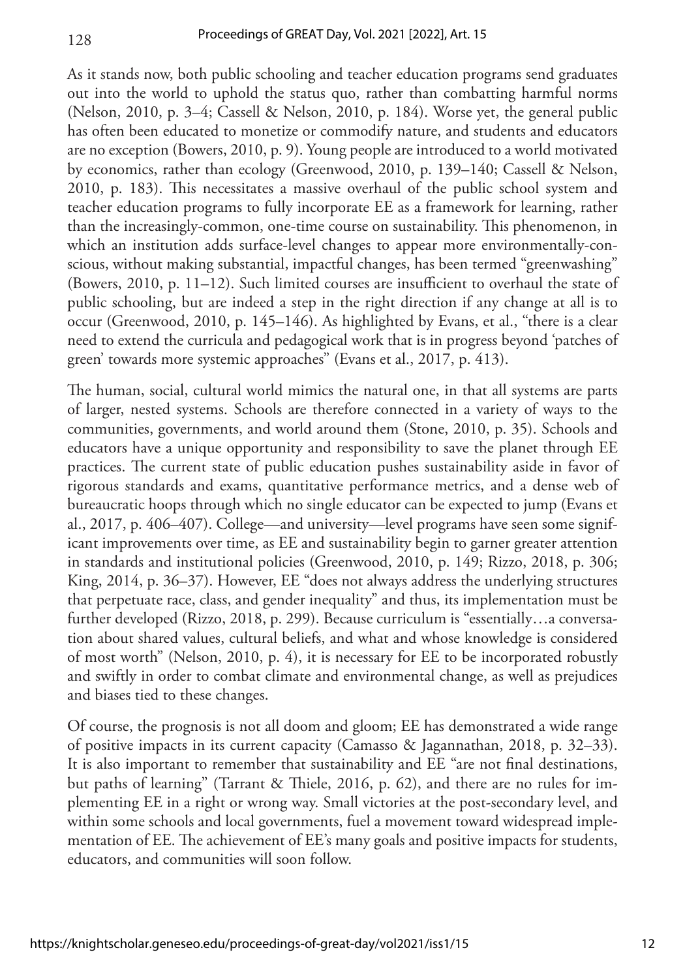As it stands now, both public schooling and teacher education programs send graduates out into the world to uphold the status quo, rather than combatting harmful norms (Nelson, 2010, p. 3–4; Cassell & Nelson, 2010, p. 184). Worse yet, the general public has often been educated to monetize or commodify nature, and students and educators are no exception (Bowers, 2010, p. 9). Young people are introduced to a world motivated by economics, rather than ecology (Greenwood, 2010, p. 139–140; Cassell & Nelson, 2010, p. 183). This necessitates a massive overhaul of the public school system and teacher education programs to fully incorporate EE as a framework for learning, rather than the increasingly-common, one-time course on sustainability. This phenomenon, in which an institution adds surface-level changes to appear more environmentally-conscious, without making substantial, impactful changes, has been termed "greenwashing" (Bowers, 2010, p. 11–12). Such limited courses are insufficient to overhaul the state of public schooling, but are indeed a step in the right direction if any change at all is to occur (Greenwood, 2010, p. 145–146). As highlighted by Evans, et al., "there is a clear need to extend the curricula and pedagogical work that is in progress beyond 'patches of green' towards more systemic approaches" (Evans et al., 2017, p. 413).

The human, social, cultural world mimics the natural one, in that all systems are parts of larger, nested systems. Schools are therefore connected in a variety of ways to the communities, governments, and world around them (Stone, 2010, p. 35). Schools and educators have a unique opportunity and responsibility to save the planet through EE practices. The current state of public education pushes sustainability aside in favor of rigorous standards and exams, quantitative performance metrics, and a dense web of bureaucratic hoops through which no single educator can be expected to jump (Evans et al., 2017, p. 406–407). College—and university—level programs have seen some significant improvements over time, as EE and sustainability begin to garner greater attention in standards and institutional policies (Greenwood, 2010, p. 149; Rizzo, 2018, p. 306; King, 2014, p. 36–37). However, EE "does not always address the underlying structures that perpetuate race, class, and gender inequality" and thus, its implementation must be further developed (Rizzo, 2018, p. 299). Because curriculum is "essentially…a conversation about shared values, cultural beliefs, and what and whose knowledge is considered of most worth" (Nelson, 2010, p. 4), it is necessary for EE to be incorporated robustly and swiftly in order to combat climate and environmental change, as well as prejudices and biases tied to these changes.

Of course, the prognosis is not all doom and gloom; EE has demonstrated a wide range of positive impacts in its current capacity (Camasso & Jagannathan, 2018, p. 32–33). It is also important to remember that sustainability and EE "are not final destinations, but paths of learning" (Tarrant & Thiele, 2016, p. 62), and there are no rules for implementing EE in a right or wrong way. Small victories at the post-secondary level, and within some schools and local governments, fuel a movement toward widespread implementation of EE. The achievement of EE's many goals and positive impacts for students, educators, and communities will soon follow.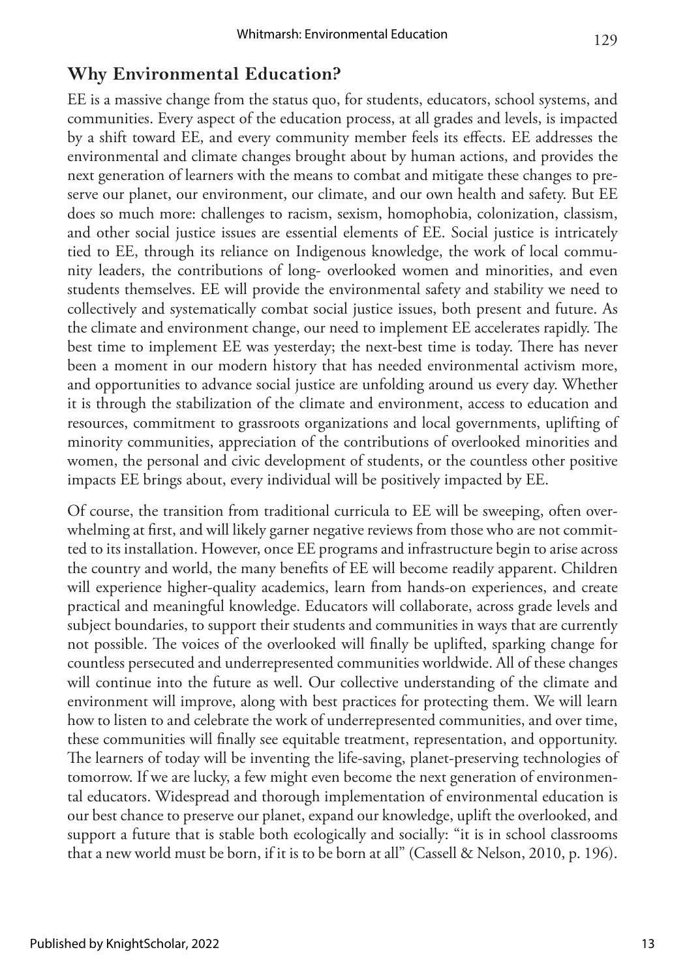### **Why Environmental Education?**

EE is a massive change from the status quo, for students, educators, school systems, and communities. Every aspect of the education process, at all grades and levels, is impacted by a shift toward EE, and every community member feels its effects. EE addresses the environmental and climate changes brought about by human actions, and provides the next generation of learners with the means to combat and mitigate these changes to preserve our planet, our environment, our climate, and our own health and safety. But EE does so much more: challenges to racism, sexism, homophobia, colonization, classism, and other social justice issues are essential elements of EE. Social justice is intricately tied to EE, through its reliance on Indigenous knowledge, the work of local community leaders, the contributions of long- overlooked women and minorities, and even students themselves. EE will provide the environmental safety and stability we need to collectively and systematically combat social justice issues, both present and future. As the climate and environment change, our need to implement EE accelerates rapidly. The best time to implement EE was yesterday; the next-best time is today. There has never been a moment in our modern history that has needed environmental activism more, and opportunities to advance social justice are unfolding around us every day. Whether it is through the stabilization of the climate and environment, access to education and resources, commitment to grassroots organizations and local governments, uplifting of minority communities, appreciation of the contributions of overlooked minorities and women, the personal and civic development of students, or the countless other positive impacts EE brings about, every individual will be positively impacted by EE.

Of course, the transition from traditional curricula to EE will be sweeping, often overwhelming at first, and will likely garner negative reviews from those who are not committed to its installation. However, once EE programs and infrastructure begin to arise across the country and world, the many benefits of EE will become readily apparent. Children will experience higher-quality academics, learn from hands-on experiences, and create practical and meaningful knowledge. Educators will collaborate, across grade levels and subject boundaries, to support their students and communities in ways that are currently not possible. The voices of the overlooked will finally be uplifted, sparking change for countless persecuted and underrepresented communities worldwide. All of these changes will continue into the future as well. Our collective understanding of the climate and environment will improve, along with best practices for protecting them. We will learn how to listen to and celebrate the work of underrepresented communities, and over time, these communities will finally see equitable treatment, representation, and opportunity. The learners of today will be inventing the life-saving, planet-preserving technologies of tomorrow. If we are lucky, a few might even become the next generation of environmental educators. Widespread and thorough implementation of environmental education is our best chance to preserve our planet, expand our knowledge, uplift the overlooked, and support a future that is stable both ecologically and socially: "it is in school classrooms that a new world must be born, if it is to be born at all" (Cassell & Nelson, 2010, p. 196).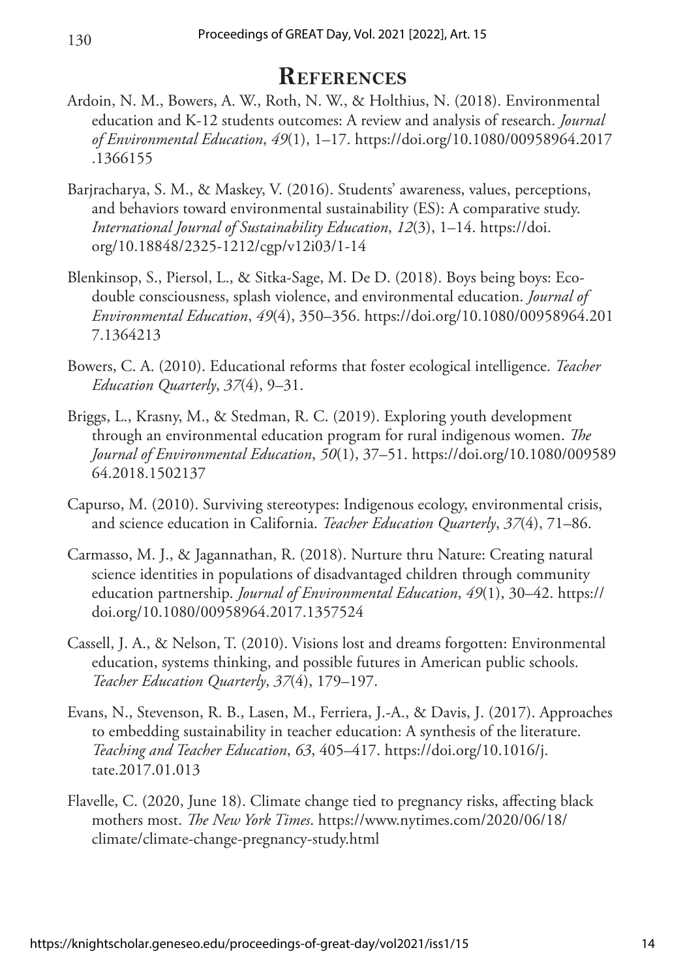### **References**

- Ardoin, N. M., Bowers, A. W., Roth, N. W., & Holthius, N. (2018). Environmental education and K-12 students outcomes: A review and analysis of research. *Journal of Environmental Education*, *49*(1), 1–17. [https://doi.org/10.1080/00958964.2017](https://doi.org/10.1080/00958964.2017.1366155) [.1366155](https://doi.org/10.1080/00958964.2017.1366155)
- Barjracharya, S. M., & Maskey, V. (2016). Students' awareness, values, perceptions, and behaviors toward environmental sustainability (ES): A comparative study. *International Journal of Sustainability Education*, *12*(3), 1–14. [https://doi.](https://doi.org/10.18848/2325-1212/cgp/v12i03/1-14) [org/10.18848/2325-1212/cgp/v12i03/1-14](https://doi.org/10.18848/2325-1212/cgp/v12i03/1-14)
- Blenkinsop, S., Piersol, L., & Sitka-Sage, M. De D. (2018). Boys being boys: Ecodouble consciousness, splash violence, and environmental education. *Journal of Environmental Education*, *49*(4), 350–356. [https://doi.org/10.1080/00958964.201](https://doi.org/10.1080/00958964.2017.1364213) [7.1364213](https://doi.org/10.1080/00958964.2017.1364213)
- Bowers, C. A. (2010). Educational reforms that foster ecological intelligence. *Teacher Education Quarterly*, *37*(4), 9–31.
- Briggs, L., Krasny, M., & Stedman, R. C. (2019). Exploring youth development through an environmental education program for rural indigenous women. *The Journal of Environmental Education*, *50*(1), 37–51. [https://doi.org/10.1080/009589](https://doi.org/10.1080/00958964.2018.1502137) [64.2018.1502137](https://doi.org/10.1080/00958964.2018.1502137)
- Capurso, M. (2010). Surviving stereotypes: Indigenous ecology, environmental crisis, and science education in California. *Teacher Education Quarterly*, *37*(4), 71–86.
- Carmasso, M. J., & Jagannathan, R. (2018). Nurture thru Nature: Creating natural science identities in populations of disadvantaged children through community education partnership. *Journal of Environmental Education*, *49*(1), 30–42. [https://](https://doi.org/10.1080/00958964.2017.1357524) [doi.org/10.1080/00958964.2017.1357524](https://doi.org/10.1080/00958964.2017.1357524)
- Cassell, J. A., & Nelson, T. (2010). Visions lost and dreams forgotten: Environmental education, systems thinking, and possible futures in American public schools. *Teacher Education Quarterly*, *37*(4), 179–197.
- Evans, N., Stevenson, R. B., Lasen, M., Ferriera, J.-A., & Davis, J. (2017). Approaches to embedding sustainability in teacher education: A synthesis of the literature. *Teaching and Teacher Education*, *63*, 405–417. [https://doi.org/10.1016/j.](https://doi.org/10.1016/j.tate.2017.01.013) [tate.2017.01.013](https://doi.org/10.1016/j.tate.2017.01.013)
- Flavelle, C. (2020, June 18). Climate change tied to pregnancy risks, affecting black mothers most. *The New York Times*. [https://www.nytimes.com/2020/06/18/](https://www.nytimes.com/2020/06/18/climate/climate-change-pregnancy-study.html) [climate/climate-change-pregnancy-study.html](https://www.nytimes.com/2020/06/18/climate/climate-change-pregnancy-study.html)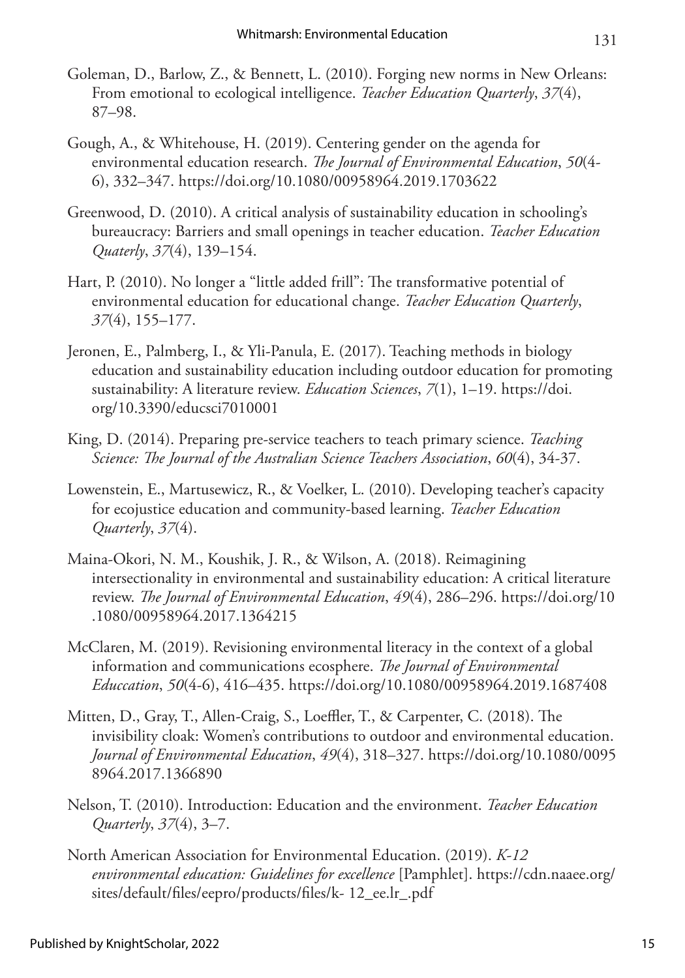- Goleman, D., Barlow, Z., & Bennett, L. (2010). Forging new norms in New Orleans: From emotional to ecological intelligence. *Teacher Education Quarterly*, *37*(4), 87–98.
- Gough, A., & Whitehouse, H. (2019). Centering gender on the agenda for environmental education research. *The Journal of Environmental Education*, *50*(4- 6), 332–347.<https://doi.org/10.1080/00958964.2019.1703622>
- Greenwood, D. (2010). A critical analysis of sustainability education in schooling's bureaucracy: Barriers and small openings in teacher education. *Teacher Education Quaterly*, *37*(4), 139–154.
- Hart, P. (2010). No longer a "little added frill": The transformative potential of environmental education for educational change. *Teacher Education Quarterly*, *37*(4), 155–177.
- Jeronen, E., Palmberg, I., & Yli-Panula, E. (2017). Teaching methods in biology education and sustainability education including outdoor education for promoting sustainability: A literature review. *Education Sciences*, *7*(1), 1–19. [https://doi.](https://doi.org/10.3390/educsci7010001) [org/10.3390/educsci7010001](https://doi.org/10.3390/educsci7010001)
- King, D. (2014). Preparing pre-service teachers to teach primary science. *Teaching Science: The Journal of the Australian Science Teachers Association*, *60*(4), 34-37.
- Lowenstein, E., Martusewicz, R., & Voelker, L. (2010). Developing teacher's capacity for ecojustice education and community-based learning. *Teacher Education Quarterly*, *37*(4).
- Maina-Okori, N. M., Koushik, J. R., & Wilson, A. (2018). Reimagining intersectionality in environmental and sustainability education: A critical literature review. *The Journal of Environmental Education*, *49*(4), 286–296. [https://doi.org/10](https://doi.org/10.1080/00958964.2017.1364215) [.1080/00958964.2017.1364215](https://doi.org/10.1080/00958964.2017.1364215)
- McClaren, M. (2019). Revisioning environmental literacy in the context of a global information and communications ecosphere. *The Journal of Environmental Educcation*, *50*(4-6), 416–435.<https://doi.org/10.1080/00958964.2019.1687408>
- Mitten, D., Gray, T., Allen-Craig, S., Loeffler, T., & Carpenter, C. (2018). The invisibility cloak: Women's contributions to outdoor and environmental education. *Journal of Environmental Education*, *49*(4), 318–327. [https://doi.org/10.1080/0095](https://doi.org/10.1080/00958964.2017.1366890) [8964.2017.1366890](https://doi.org/10.1080/00958964.2017.1366890)
- Nelson, T. (2010). Introduction: Education and the environment. *Teacher Education Quarterly*, *37*(4), 3–7.
- North American Association for Environmental Education. (2019). *K-12 environmental education: Guidelines for excellence* [Pamphlet]. [https://cdn.naaee.org/](https://cdn.naaee.org/sites/default/files/eepro/products/files/k- 12_ee.lr_.pdf) [sites/default/files/eepro/products/files/k- 12\\_ee.lr\\_.pdf](https://cdn.naaee.org/sites/default/files/eepro/products/files/k- 12_ee.lr_.pdf)